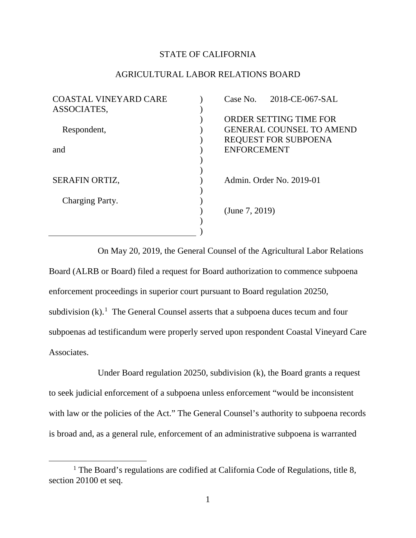## STATE OF CALIFORNIA

## AGRICULTURAL LABOR RELATIONS BOARD

| <b>COASTAL VINEYARD CARE</b> | Case No. 2018-CE-067-SAL        |
|------------------------------|---------------------------------|
| ASSOCIATES,                  |                                 |
|                              | ORDER SETTING TIME FOR          |
| Respondent,                  | <b>GENERAL COUNSEL TO AMEND</b> |
|                              | <b>REQUEST FOR SUBPOENA</b>     |
| and                          | <b>ENFORCEMENT</b>              |
|                              |                                 |
|                              |                                 |
| SERAFIN ORTIZ,               | Admin. Order No. 2019-01        |
|                              |                                 |
| Charging Party.              |                                 |
|                              | (June 7, 2019)                  |
|                              |                                 |
|                              |                                 |

On May 20, 2019, the General Counsel of the Agricultural Labor Relations Board (ALRB or Board) filed a request for Board authorization to commence subpoena enforcement proceedings in superior court pursuant to Board regulation 20250, subdivision  $(k)$ .<sup>[1](#page-0-0)</sup> The General Counsel asserts that a subpoena duces tecum and four subpoenas ad testificandum were properly served upon respondent Coastal Vineyard Care Associates.

Under Board regulation 20250, subdivision (k), the Board grants a request to seek judicial enforcement of a subpoena unless enforcement "would be inconsistent with law or the policies of the Act." The General Counsel's authority to subpoena records is broad and, as a general rule, enforcement of an administrative subpoena is warranted

 $\overline{a}$ 

<span id="page-0-0"></span><sup>&</sup>lt;sup>1</sup> The Board's regulations are codified at California Code of Regulations, title 8, section 20100 et seq.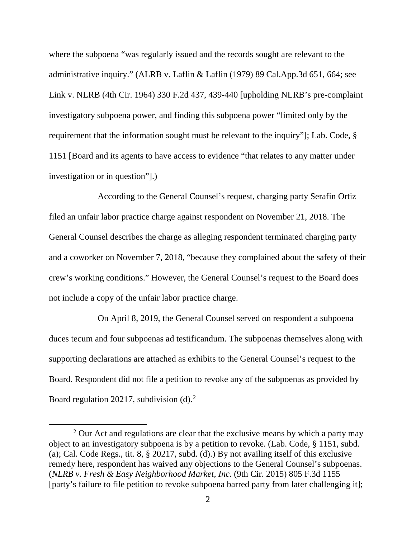where the subpoena "was regularly issued and the records sought are relevant to the administrative inquiry." (ALRB v. Laflin & Laflin (1979) 89 Cal.App.3d 651, 664; see Link v. NLRB (4th Cir. 1964) 330 F.2d 437, 439-440 [upholding NLRB's pre-complaint investigatory subpoena power, and finding this subpoena power "limited only by the requirement that the information sought must be relevant to the inquiry"]; Lab. Code, § 1151 [Board and its agents to have access to evidence "that relates to any matter under investigation or in question"].)

According to the General Counsel's request, charging party Serafin Ortiz filed an unfair labor practice charge against respondent on November 21, 2018. The General Counsel describes the charge as alleging respondent terminated charging party and a coworker on November 7, 2018, "because they complained about the safety of their crew's working conditions." However, the General Counsel's request to the Board does not include a copy of the unfair labor practice charge.

On April 8, 2019, the General Counsel served on respondent a subpoena duces tecum and four subpoenas ad testificandum. The subpoenas themselves along with supporting declarations are attached as exhibits to the General Counsel's request to the Board. Respondent did not file a petition to revoke any of the subpoenas as provided by Board regulation [2](#page-1-0)0217, subdivision  $(d)$ .<sup>2</sup>

 $\overline{a}$ 

<span id="page-1-0"></span><sup>&</sup>lt;sup>2</sup> Our Act and regulations are clear that the exclusive means by which a party may object to an investigatory subpoena is by a petition to revoke. (Lab. Code, § 1151, subd. (a); Cal. Code Regs., tit. 8, § 20217, subd. (d).) By not availing itself of this exclusive remedy here, respondent has waived any objections to the General Counsel's subpoenas. (*NLRB v. Fresh & Easy Neighborhood Market, Inc*. (9th Cir. 2015) 805 F.3d 1155 [party's failure to file petition to revoke subpoena barred party from later challenging it];